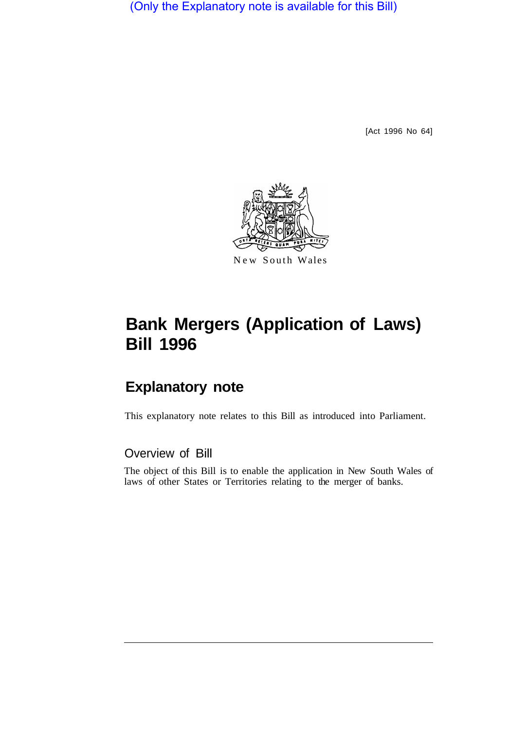(Only the Explanatory note is available for this Bill)

[Act 1996 No 64]



#### New South Wales

# **Bank Mergers (Application of Laws) Bill 1996**

## **Explanatory note**

This explanatory note relates to this Bill as introduced into Parliament.

### Overview of Bill

The object of this Bill is to enable the application in New South Wales of laws of other States or Territories relating to the merger of banks.